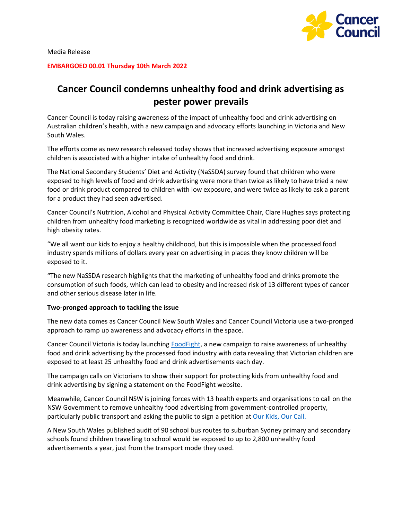

Media Release

**EMBARGOED 00.01 Thursday 10th March 2022**

# **Cancer Council condemns unhealthy food and drink advertising as pester power prevails**

Cancer Council is today raising awareness of the impact of unhealthy food and drink advertising on Australian children's health, with a new campaign and advocacy efforts launching in Victoria and New South Wales.

The efforts come as new research released today shows that increased advertising exposure amongst children is associated with a higher intake of unhealthy food and drink.

The National Secondary Students' Diet and Activity (NaSSDA) survey found that children who were exposed to high levels of food and drink advertising were more than twice as likely to have tried a new food or drink product compared to children with low exposure, and were twice as likely to ask a parent for a product they had seen advertised.

Cancer Council's Nutrition, Alcohol and Physical Activity Committee Chair, Clare Hughes says protecting children from unhealthy food marketing is recognized worldwide as vital in addressing poor diet and high obesity rates.

"We all want our kids to enjoy a healthy childhood, but this is impossible when the processed food industry spends millions of dollars every year on advertising in places they know children will be exposed to it.

"The new NaSSDA research highlights that the marketing of unhealthy food and drinks promote the consumption of such foods, which can lead to obesity and increased risk of 13 different types of cancer and other serious disease later in life.

### **Two-pronged approach to tackling the issue**

The new data comes as Cancer Council New South Wales and Cancer Council Victoria use a two-pronged approach to ramp up awareness and advocacy efforts in the space.

Cancer Council Victoria is today launching [FoodFight,](http://cancervic.org.au/foodfight) a new campaign to raise awareness of unhealthy food and drink advertising by the processed food industry with data revealing that Victorian children are exposed to at least 25 unhealthy food and drink advertisements each day.

The campaign calls on Victorians to show their support for protecting kids from unhealthy food and drink advertising by signing a statement on the FoodFight website.

Meanwhile, Cancer Council NSW is joining forces with 13 health experts and organisations to call on the NSW Government to remove unhealthy food advertising from government-controlled property, particularly public transport and asking the public to sign a petition at [Our Kids, Our Call.](http://www.ourkidsourcall.com.au/)

A New South Wales published audit of 90 school bus routes to suburban Sydney primary and secondary schools found children travelling to school would be exposed to up to 2,800 unhealthy food advertisements a year, just from the transport mode they used.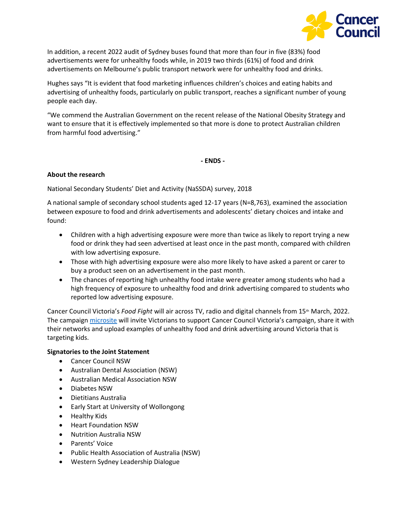

In addition, a recent 2022 audit of Sydney buses found that more than four in five (83%) food advertisements were for unhealthy foods while, in 2019 two thirds (61%) of food and drink advertisements on Melbourne's public transport network were for unhealthy food and drinks.

Hughes says "It is evident that food marketing influences children's choices and eating habits and advertising of unhealthy foods, particularly on public transport, reaches a significant number of young people each day.

"We commend the Australian Government on the recent release of the National Obesity Strategy and want to ensure that it is effectively implemented so that more is done to protect Australian children from harmful food advertising."

**- ENDS -**

## **About the research**

National Secondary Students' Diet and Activity (NaSSDA) survey, 2018

A national sample of secondary school students aged 12-17 years (N=8,763), examined the association between exposure to food and drink advertisements and adolescents' dietary choices and intake and found:

- Children with a high advertising exposure were more than twice as likely to report trying a new food or drink they had seen advertised at least once in the past month, compared with children with low advertising exposure.
- Those with high advertising exposure were also more likely to have asked a parent or carer to buy a product seen on an advertisement in the past month.
- The chances of reporting high unhealthy food intake were greater among students who had a high frequency of exposure to unhealthy food and drink advertising compared to students who reported low advertising exposure.

Cancer Council Victoria's *Food Fight* will air across TV, radio and digital channels from 15<sup>th</sup> March, 2022. The campaign [microsite](http://cancervic.org.au/foodfight) will invite Victorians to support Cancer Council Victoria's campaign, share it with their networks and upload examples of unhealthy food and drink advertising around Victoria that is targeting kids.

### **Signatories to the Joint Statement**

- Cancer Council NSW
- Australian Dental Association (NSW)
- Australian Medical Association NSW
- Diabetes NSW
- Dietitians Australia
- Early Start at University of Wollongong
- Healthy Kids
- Heart Foundation NSW
- Nutrition Australia NSW
- Parents' Voice
- Public Health Association of Australia (NSW)
- Western Sydney Leadership Dialogue